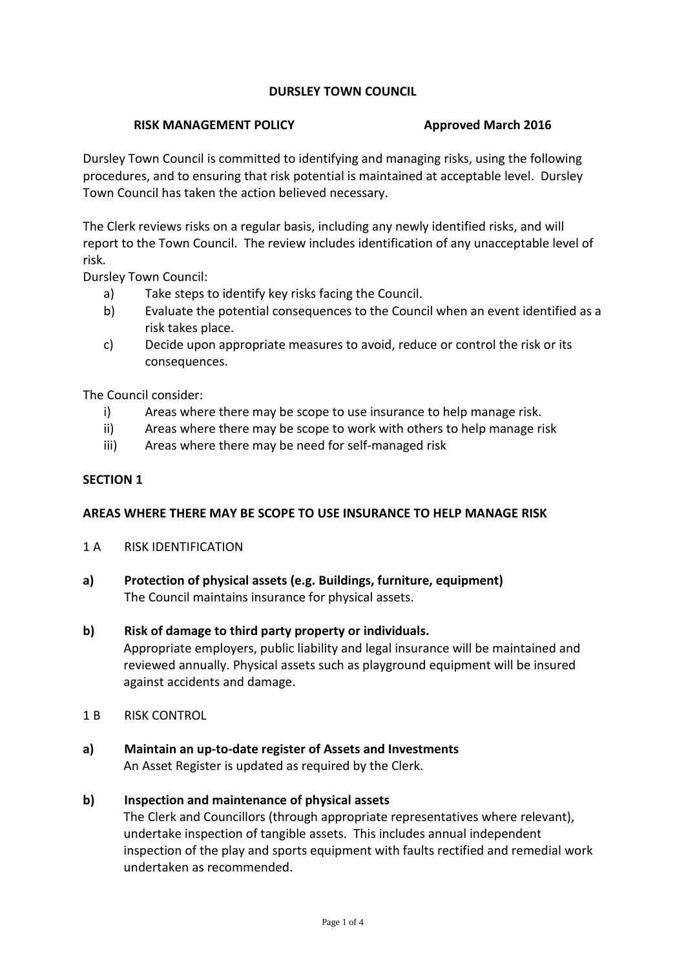# **DURSLEY TOWN COUNCIL**

#### **RISK MANAGEMENT POLICY Approved March 2016**

Dursley Town Council is committed to identifying and managing risks, using the following procedures, and to ensuring that risk potential is maintained at acceptable level. Dursley Town Council has taken the action believed necessary.

The Clerk reviews risks on a regular basis, including any newly identified risks, and will report to the Town Council. The review includes identification of any unacceptable level of risk.

Dursley Town Council:

- a) Take steps to identify key risks facing the Council.
- b) Evaluate the potential consequences to the Council when an event identified as a risk takes place.
- c) Decide upon appropriate measures to avoid, reduce or control the risk or its consequences.

The Council consider:

- i) Areas where there may be scope to use insurance to help manage risk.
- ii) Areas where there may be scope to work with others to help manage risk
- iii) Areas where there may be need for self-managed risk

### **SECTION 1**

### **AREAS WHERE THERE MAY BE SCOPE TO USE INSURANCE TO HELP MANAGE RISK**

- 1 A RISK IDENTIFICATION
- **a) Protection of physical assets (e.g. Buildings, furniture, equipment)** The Council maintains insurance for physical assets.

### **b) Risk of damage to third party property or individuals.**

Appropriate employers, public liability and legal insurance will be maintained and reviewed annually. Physical assets such as playground equipment will be insured against accidents and damage.

- 1 B RISK CONTROL
- **a) Maintain an up-to-date register of Assets and Investments** An Asset Register is updated as required by the Clerk.

### **b) Inspection and maintenance of physical assets**

The Clerk and Councillors (through appropriate representatives where relevant), undertake inspection of tangible assets. This includes annual independent inspection of the play and sports equipment with faults rectified and remedial work undertaken as recommended.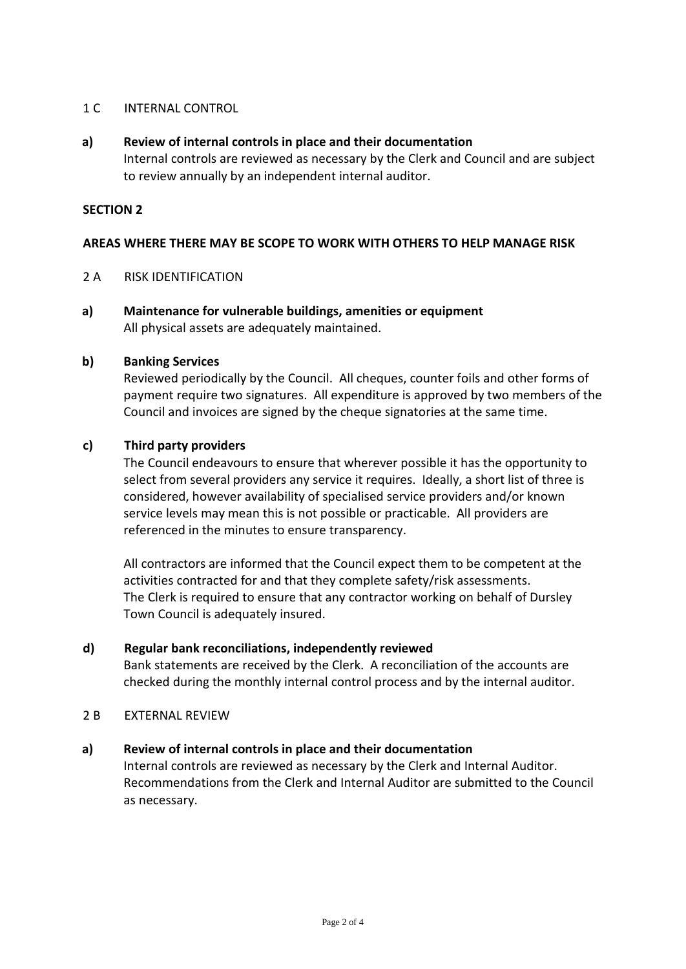## 1 C INTERNAL CONTROL

## **a) Review of internal controls in place and their documentation**

Internal controls are reviewed as necessary by the Clerk and Council and are subject to review annually by an independent internal auditor.

### **SECTION 2**

# **AREAS WHERE THERE MAY BE SCOPE TO WORK WITH OTHERS TO HELP MANAGE RISK**

## 2 A RISK IDENTIFICATION

**a) Maintenance for vulnerable buildings, amenities or equipment** All physical assets are adequately maintained.

### **b) Banking Services**

Reviewed periodically by the Council. All cheques, counter foils and other forms of payment require two signatures. All expenditure is approved by two members of the Council and invoices are signed by the cheque signatories at the same time.

# **c) Third party providers**

The Council endeavours to ensure that wherever possible it has the opportunity to select from several providers any service it requires. Ideally, a short list of three is considered, however availability of specialised service providers and/or known service levels may mean this is not possible or practicable. All providers are referenced in the minutes to ensure transparency.

All contractors are informed that the Council expect them to be competent at the activities contracted for and that they complete safety/risk assessments. The Clerk is required to ensure that any contractor working on behalf of Dursley Town Council is adequately insured.

### **d) Regular bank reconciliations, independently reviewed**

Bank statements are received by the Clerk. A reconciliation of the accounts are checked during the monthly internal control process and by the internal auditor.

### 2 B **EXTERNAL REVIEW**

### **a) Review of internal controls in place and their documentation**

Internal controls are reviewed as necessary by the Clerk and Internal Auditor. Recommendations from the Clerk and Internal Auditor are submitted to the Council as necessary.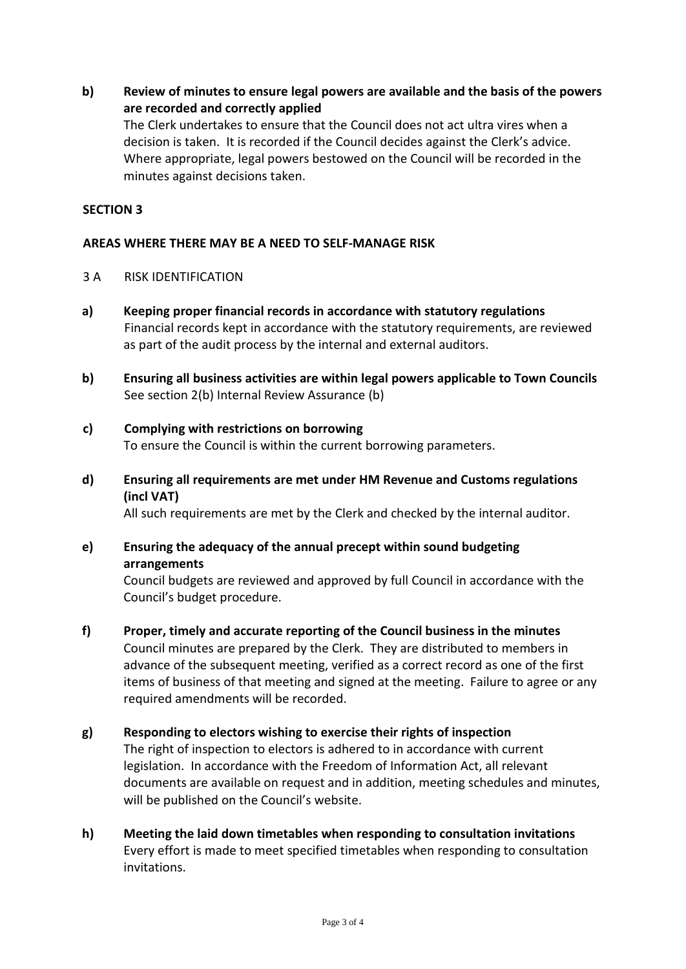**b) Review of minutes to ensure legal powers are available and the basis of the powers are recorded and correctly applied**

The Clerk undertakes to ensure that the Council does not act ultra vires when a decision is taken. It is recorded if the Council decides against the Clerk's advice. Where appropriate, legal powers bestowed on the Council will be recorded in the minutes against decisions taken.

### **SECTION 3**

### **AREAS WHERE THERE MAY BE A NEED TO SELF-MANAGE RISK**

- 3 A RISK IDENTIFICATION
- **a) Keeping proper financial records in accordance with statutory regulations** Financial records kept in accordance with the statutory requirements, are reviewed as part of the audit process by the internal and external auditors.
- **b) Ensuring all business activities are within legal powers applicable to Town Councils** See section 2(b) Internal Review Assurance (b)

# **c) Complying with restrictions on borrowing**

To ensure the Council is within the current borrowing parameters.

**d) Ensuring all requirements are met under HM Revenue and Customs regulations (incl VAT)**

All such requirements are met by the Clerk and checked by the internal auditor.

**e) Ensuring the adequacy of the annual precept within sound budgeting arrangements**

Council budgets are reviewed and approved by full Council in accordance with the Council's budget procedure.

- **f) Proper, timely and accurate reporting of the Council business in the minutes** Council minutes are prepared by the Clerk. They are distributed to members in advance of the subsequent meeting, verified as a correct record as one of the first items of business of that meeting and signed at the meeting. Failure to agree or any required amendments will be recorded.
- **g) Responding to electors wishing to exercise their rights of inspection** The right of inspection to electors is adhered to in accordance with current legislation. In accordance with the Freedom of Information Act, all relevant documents are available on request and in addition, meeting schedules and minutes, will be published on the Council's website.
- **h) Meeting the laid down timetables when responding to consultation invitations** Every effort is made to meet specified timetables when responding to consultation invitations.